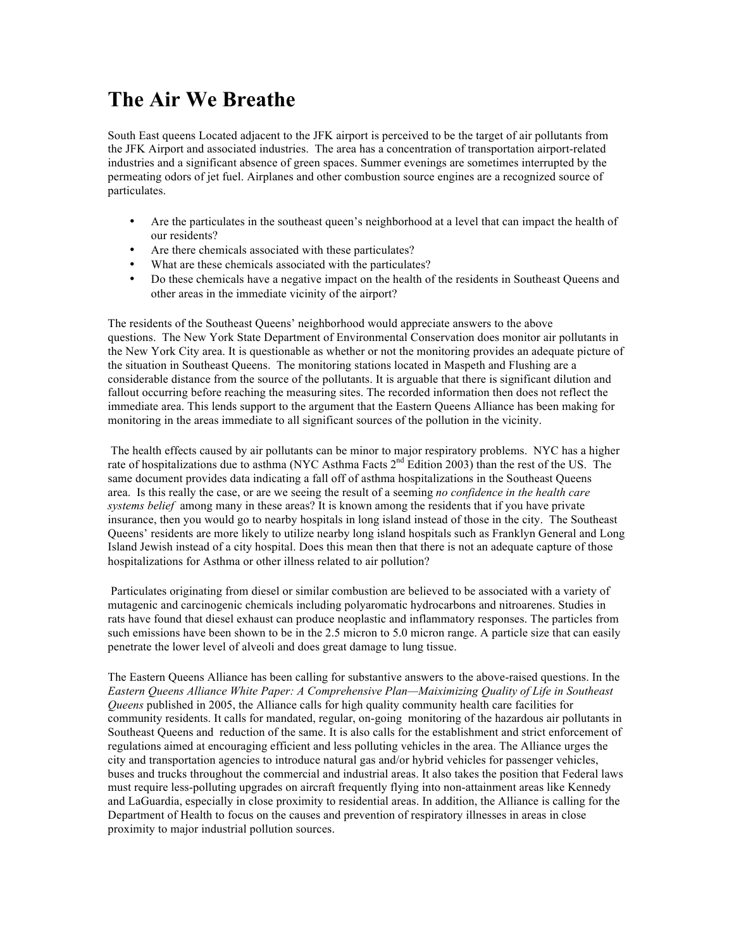## **The Air We Breathe**

South East queens Located adjacent to the JFK airport is perceived to be the target of air pollutants from the JFK Airport and associated industries. The area has a concentration of transportation airport-related industries and a significant absence of green spaces. Summer evenings are sometimes interrupted by the permeating odors of jet fuel. Airplanes and other combustion source engines are a recognized source of particulates.

- Are the particulates in the southeast queen's neighborhood at a level that can impact the health of our residents?
- Are there chemicals associated with these particulates?
- What are these chemicals associated with the particulates?
- Do these chemicals have a negative impact on the health of the residents in Southeast Queens and other areas in the immediate vicinity of the airport?

The residents of the Southeast Queens' neighborhood would appreciate answers to the above questions. The New York State Department of Environmental Conservation does monitor air pollutants in the New York City area. It is questionable as whether or not the monitoring provides an adequate picture of the situation in Southeast Queens. The monitoring stations located in Maspeth and Flushing are a considerable distance from the source of the pollutants. It is arguable that there is significant dilution and fallout occurring before reaching the measuring sites. The recorded information then does not reflect the immediate area. This lends support to the argument that the Eastern Queens Alliance has been making for monitoring in the areas immediate to all significant sources of the pollution in the vicinity.

The health effects caused by air pollutants can be minor to major respiratory problems. NYC has a higher rate of hospitalizations due to asthma (NYC Asthma Facts  $2<sup>nd</sup>$  Edition 2003) than the rest of the US. The same document provides data indicating a fall off of asthma hospitalizations in the Southeast Queens area. Is this really the case, or are we seeing the result of a seeming *no confidence in the health care systems belief* among many in these areas? It is known among the residents that if you have private insurance, then you would go to nearby hospitals in long island instead of those in the city. The Southeast Queens' residents are more likely to utilize nearby long island hospitals such as Franklyn General and Long Island Jewish instead of a city hospital. Does this mean then that there is not an adequate capture of those hospitalizations for Asthma or other illness related to air pollution?

Particulates originating from diesel or similar combustion are believed to be associated with a variety of mutagenic and carcinogenic chemicals including polyaromatic hydrocarbons and nitroarenes. Studies in rats have found that diesel exhaust can produce neoplastic and inflammatory responses. The particles from such emissions have been shown to be in the 2.5 micron to 5.0 micron range. A particle size that can easily penetrate the lower level of alveoli and does great damage to lung tissue.

The Eastern Queens Alliance has been calling for substantive answers to the above-raised questions. In the *Eastern Queens Alliance White Paper: A Comprehensive Plan—Maiximizing Quality of Life in Southeast Queens* published in 2005, the Alliance calls for high quality community health care facilities for community residents. It calls for mandated, regular, on-going monitoring of the hazardous air pollutants in Southeast Queens and reduction of the same. It is also calls for the establishment and strict enforcement of regulations aimed at encouraging efficient and less polluting vehicles in the area. The Alliance urges the city and transportation agencies to introduce natural gas and/or hybrid vehicles for passenger vehicles, buses and trucks throughout the commercial and industrial areas. It also takes the position that Federal laws must require less-polluting upgrades on aircraft frequently flying into non-attainment areas like Kennedy and LaGuardia, especially in close proximity to residential areas. In addition, the Alliance is calling for the Department of Health to focus on the causes and prevention of respiratory illnesses in areas in close proximity to major industrial pollution sources.